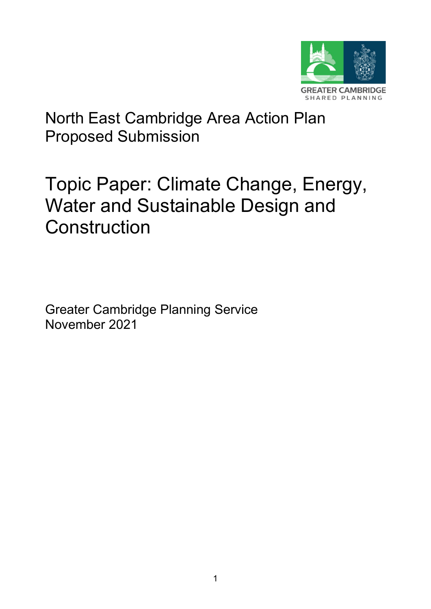

# <span id="page-0-1"></span><span id="page-0-0"></span>North East Cambridge Area Action Plan Proposed Submission

# <span id="page-0-2"></span>Topic Paper: Climate Change, Energy, Water and Sustainable Design and **Construction**

Greater Cambridge Planning Service November 2021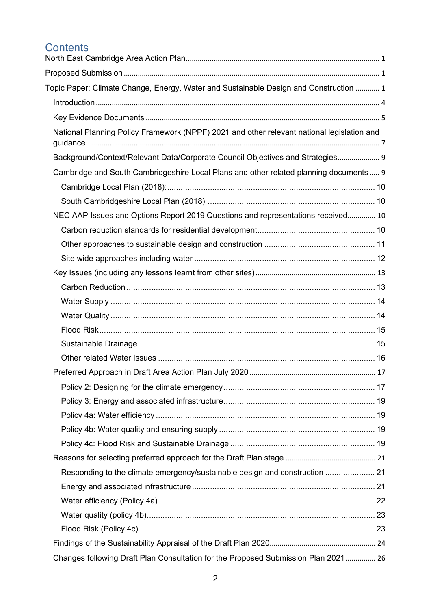# **Contents**

| Topic Paper: Climate Change, Energy, Water and Sustainable Design and Construction  1      |  |
|--------------------------------------------------------------------------------------------|--|
|                                                                                            |  |
|                                                                                            |  |
| National Planning Policy Framework (NPPF) 2021 and other relevant national legislation and |  |
| Background/Context/Relevant Data/Corporate Council Objectives and Strategies 9             |  |
| Cambridge and South Cambridgeshire Local Plans and other related planning documents  9     |  |
|                                                                                            |  |
|                                                                                            |  |
| NEC AAP Issues and Options Report 2019 Questions and representations received 10           |  |
|                                                                                            |  |
|                                                                                            |  |
|                                                                                            |  |
|                                                                                            |  |
|                                                                                            |  |
|                                                                                            |  |
|                                                                                            |  |
|                                                                                            |  |
|                                                                                            |  |
|                                                                                            |  |
|                                                                                            |  |
|                                                                                            |  |
|                                                                                            |  |
|                                                                                            |  |
|                                                                                            |  |
|                                                                                            |  |
|                                                                                            |  |
| Responding to the climate emergency/sustainable design and construction  21                |  |
|                                                                                            |  |
|                                                                                            |  |
|                                                                                            |  |
|                                                                                            |  |
|                                                                                            |  |
| Changes following Draft Plan Consultation for the Proposed Submission Plan 2021 26         |  |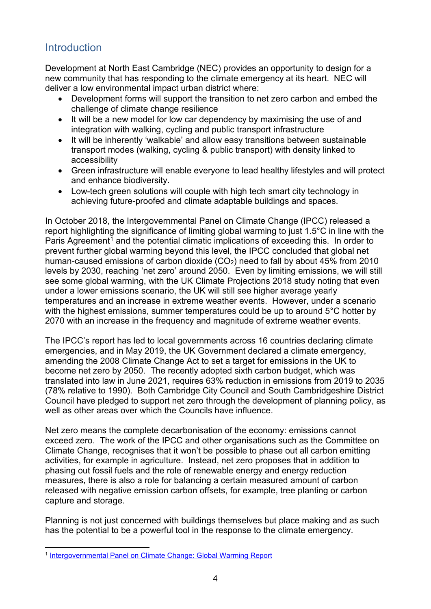# <span id="page-3-0"></span>**Introduction**

Development at North East Cambridge (NEC) provides an opportunity to design for a new community that has responding to the climate emergency at its heart. NEC will deliver a low environmental impact urban district where:

- Development forms will support the transition to net zero carbon and embed the challenge of climate change resilience
- It will be a new model for low car dependency by maximising the use of and integration with walking, cycling and public transport infrastructure
- It will be inherently 'walkable' and allow easy transitions between sustainable transport modes (walking, cycling & public transport) with density linked to accessibility
- Green infrastructure will enable everyone to lead healthy lifestyles and will protect and enhance biodiversity.
- Low-tech green solutions will couple with high tech smart city technology in achieving future-proofed and climate adaptable buildings and spaces.

In October 2018, the Intergovernmental Panel on Climate Change (IPCC) released a report highlighting the significance of limiting global warming to just 1.5°C in line with the Paris Agreement<sup>[1](#page-3-1)</sup> and the potential climatic implications of exceeding this. In order to prevent further global warming beyond this level, the IPCC concluded that global net human-caused emissions of carbon dioxide  $(CO<sub>2</sub>)$  need to fall by about 45% from 2010 levels by 2030, reaching 'net zero' around 2050. Even by limiting emissions, we will still see some global warming, with the UK Climate Projections 2018 study noting that even under a lower emissions scenario, the UK will still see higher average yearly temperatures and an increase in extreme weather events. However, under a scenario with the highest emissions, summer temperatures could be up to around 5°C hotter by 2070 with an increase in the frequency and magnitude of extreme weather events.

The IPCC's report has led to local governments across 16 countries declaring climate emergencies, and in May 2019, the UK Government declared a climate emergency, amending the 2008 Climate Change Act to set a target for emissions in the UK to become net zero by 2050. The recently adopted sixth carbon budget, which was translated into law in June 2021, requires 63% reduction in emissions from 2019 to 2035 (78% relative to 1990). Both Cambridge City Council and South Cambridgeshire District Council have pledged to support net zero through the development of planning policy, as well as other areas over which the Councils have influence.

Net zero means the complete decarbonisation of the economy: emissions cannot exceed zero. The work of the IPCC and other organisations such as the Committee on Climate Change, recognises that it won't be possible to phase out all carbon emitting activities, for example in agriculture. Instead, net zero proposes that in addition to phasing out fossil fuels and the role of renewable energy and energy reduction measures, there is also a role for balancing a certain measured amount of carbon released with negative emission carbon offsets, for example, tree planting or carbon capture and storage.

Planning is not just concerned with buildings themselves but place making and as such has the potential to be a powerful tool in the response to the climate emergency.

<span id="page-3-1"></span><sup>1</sup> [Intergovernmental Panel on Climate Change: Global Warming Report](https://www.ipcc.ch/sr15/)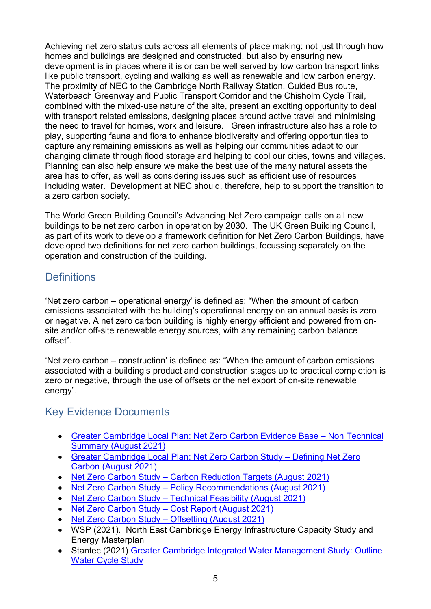Achieving net zero status cuts across all elements of place making; not just through how homes and buildings are designed and constructed, but also by ensuring new development is in places where it is or can be well served by low carbon transport links like public transport, cycling and walking as well as renewable and low carbon energy. The proximity of NEC to the Cambridge North Railway Station, Guided Bus route, Waterbeach Greenway and Public Transport Corridor and the Chisholm Cycle Trail, combined with the mixed-use nature of the site, present an exciting opportunity to deal with transport related emissions, designing places around active travel and minimising the need to travel for homes, work and leisure. Green infrastructure also has a role to play, supporting fauna and flora to enhance biodiversity and offering opportunities to capture any remaining emissions as well as helping our communities adapt to our changing climate through flood storage and helping to cool our cities, towns and villages. Planning can also help ensure we make the best use of the many natural assets the area has to offer, as well as considering issues such as efficient use of resources including water. Development at NEC should, therefore, help to support the transition to a zero carbon society.

The World Green Building Council's Advancing Net Zero campaign calls on all new buildings to be net zero carbon in operation by 2030. The UK Green Building Council, as part of its work to develop a framework definition for Net Zero Carbon Buildings, have developed two definitions for net zero carbon buildings, focussing separately on the operation and construction of the building.

# **Definitions**

'Net zero carbon – operational energy' is defined as: "When the amount of carbon emissions associated with the building's operational energy on an annual basis is zero or negative. A net zero carbon building is highly energy efficient and powered from onsite and/or off-site renewable energy sources, with any remaining carbon balance offset".

'Net zero carbon – construction' is defined as: "When the amount of carbon emissions associated with a building's product and construction stages up to practical completion is zero or negative, through the use of offsets or the net export of on-site renewable energy".

# <span id="page-4-0"></span>Key Evidence Documents

- [Greater Cambridge Local Plan: Net Zero Carbon Evidence Base –](https://consultations.greatercambridgeplanning.org/sites/gcp/files/2021-09/Greater%20Cambridge%20Local%20Plan%20Net%20Zero%20Carbon%20Evidence%20Base%20-%20Non%20Technical%20Summary%20FINAL.pdf) Non Technical [Summary \(August 2021\)](https://consultations.greatercambridgeplanning.org/sites/gcp/files/2021-09/Greater%20Cambridge%20Local%20Plan%20Net%20Zero%20Carbon%20Evidence%20Base%20-%20Non%20Technical%20Summary%20FINAL.pdf)
- [Greater Cambridge Local Plan: Net Zero Carbon Study –](https://consultations.greatercambridgeplanning.org/sites/gcp/files/2021-08/NetZeroDefiningNetZero_GCLP_210831.pdf) Defining Net Zero [Carbon \(August 2021\)](https://consultations.greatercambridgeplanning.org/sites/gcp/files/2021-08/NetZeroDefiningNetZero_GCLP_210831.pdf)
- Net Zero Carbon Study [Carbon Reduction Targets \(August 2021\)](https://consultations.greatercambridgeplanning.org/sites/gcp/files/2021-08/NetZeroCarbonReductionTargets_GCLP_210831.pdf)
- Net Zero Carbon Study [Policy Recommendations \(August 2021\)](https://consultations.greatercambridgeplanning.org/sites/gcp/files/2021-08/NetZeroPolicyRecommendations_GCLP_210831.pdf)
- [Net Zero Carbon Study –](https://consultations.greatercambridgeplanning.org/sites/gcp/files/2021-08/NetZeroTechnicalFeasibility_GCLP_210831.pdf) Technical Feasibility (August 2021)
- Net Zero Carbon Study [Cost Report \(August 2021\)](https://consultations.greatercambridgeplanning.org/sites/gcp/files/2021-08/NetZeroCostReport_GCLP_210831.pdf)
- [Net Zero Carbon Study –](https://consultations.greatercambridgeplanning.org/sites/gcp/files/2021-08/NetZeroOffsetting_GCLP_210831.pdf) Offsetting (August 2021)
- WSP (2021). North East Cambridge Energy Infrastructure Capacity Study and Energy Masterplan
- Stantec (2021) [Greater Cambridge Integrated Water Management Study: Outline](https://consultations.greatercambridgeplanning.org/sites/gcp/files/2021-09/Integrated%20Water%20Management%20Study%20-%20Outline%20Water%20Cycle%20Strategy%20%28Stantec%29.pdf)  Water [Cycle Study](https://consultations.greatercambridgeplanning.org/sites/gcp/files/2021-09/Integrated%20Water%20Management%20Study%20-%20Outline%20Water%20Cycle%20Strategy%20%28Stantec%29.pdf)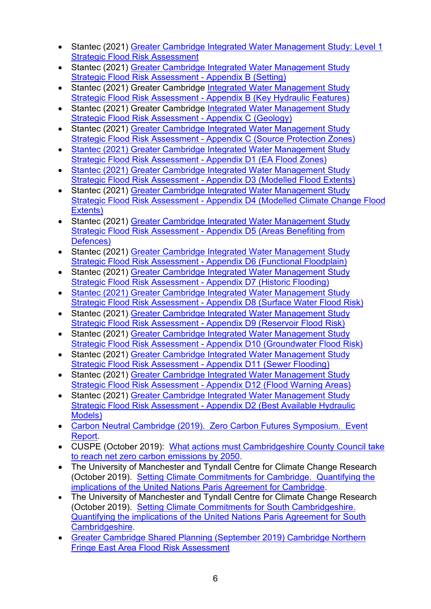- Stantec (2021) Greater Cambridge Integrated Water Management Study: Level 1 [Strategic Flood Risk Assessment](https://consultations.greatercambridgeplanning.org/sites/gcp/files/2021-08/StrategicFloodRiskAssessment_GCLP_210831.pdf)
- Stantec (2021) [Greater Cambridge Integrated Water Management Study](https://consultations.greatercambridgeplanning.org/sites/gcp/files/2021-09/Appendix%20B%20SFRA%20Maps%20Setting.pdf)  [Strategic Flood Risk Assessment -](https://consultations.greatercambridgeplanning.org/sites/gcp/files/2021-09/Appendix%20B%20SFRA%20Maps%20Setting.pdf) Appendix B (Setting)
- Stantec (2021) Greater Cambridge [Integrated Water Management Study](https://consultations.greatercambridgeplanning.org/sites/gcp/files/2021-09/Appendix%20B%20SFRA%20Maps%20Key%20Hydraulic%20Features.pdf)  Strategic Flood Risk Assessment - [Appendix B \(Key Hydraulic Features\)](https://consultations.greatercambridgeplanning.org/sites/gcp/files/2021-09/Appendix%20B%20SFRA%20Maps%20Key%20Hydraulic%20Features.pdf)
- Stantec (2021) Greater Cambridge Integrated Water Management Study [Strategic Flood Risk Assessment -](https://consultations.greatercambridgeplanning.org/sites/gcp/files/2021-09/Appendix%20C%20SFRA%20Maps%20Geology.pdf) Appendix C (Geology)
- Stantec (2021) [Greater Cambridge Integrated Water Management Study](https://consultations.greatercambridgeplanning.org/sites/gcp/files/2021-09/Appendix%20C%20SFRA%20Maps%20Source%20Protection%20Zones.pdf)  Strategic Flood Risk Assessment - [Appendix C \(Source Protection Zones\)](https://consultations.greatercambridgeplanning.org/sites/gcp/files/2021-09/Appendix%20C%20SFRA%20Maps%20Source%20Protection%20Zones.pdf)
- [Stantec \(2021\) Greater Cambridge Integrated Water Management Study](https://consultations.greatercambridgeplanning.org/sites/gcp/files/2021-09/Appendix%20D1%20SFRA%20Maps%20-%20EA%20Flood%20Zones.pdf)  [Strategic Flood Risk Assessment -](https://consultations.greatercambridgeplanning.org/sites/gcp/files/2021-09/Appendix%20D1%20SFRA%20Maps%20-%20EA%20Flood%20Zones.pdf) Appendix D1 (EA Flood Zones)
- [Stantec \(2021\) Greater Cambridge Integrated Water Management Study](https://consultations.greatercambridgeplanning.org/sites/gcp/files/2021-09/Appendix%20D3%20SFRA%20Maps%20-%20Modelled%20Flood%20Extents.pdf)  Strategic Flood Risk Assessment - [Appendix D3 \(Modelled Flood Extents\)](https://consultations.greatercambridgeplanning.org/sites/gcp/files/2021-09/Appendix%20D3%20SFRA%20Maps%20-%20Modelled%20Flood%20Extents.pdf)
- Stantec (2021) Greater Cambridge Integrated Water Management Study Strategic Flood Risk Assessment - [Appendix D4 \(Modelled Climate Change Flood](https://consultations.greatercambridgeplanning.org/sites/gcp/files/2021-09/Appendix%20D4%20SFRA%20Maps%20-%20Modelled%20Climate%20Change%20Flood%20Extents.pdf)  [Extents\)](https://consultations.greatercambridgeplanning.org/sites/gcp/files/2021-09/Appendix%20D4%20SFRA%20Maps%20-%20Modelled%20Climate%20Change%20Flood%20Extents.pdf)
- Stantec (2021) Greater Cambridge Integrated Water Management Study Strategic Flood Risk Assessment - [Appendix D5 \(Areas Benefiting from](https://consultations.greatercambridgeplanning.org/sites/gcp/files/2021-09/Appendix%20D5%20SFRA%20Maps%20-%20Areas%20Benefiting%20from%20Defences.pdf)  [Defences\)](https://consultations.greatercambridgeplanning.org/sites/gcp/files/2021-09/Appendix%20D5%20SFRA%20Maps%20-%20Areas%20Benefiting%20from%20Defences.pdf)
- Stantec (2021) [Greater Cambridge Integrated Water Management Study](https://consultations.greatercambridgeplanning.org/sites/gcp/files/2021-09/Appendix%20D6%20SFRA%20Maps%20-%20Functional%20FloodPlain.pdf)  Strategic Flood Risk Assessment - [Appendix D6 \(Functional Floodplain\)](https://consultations.greatercambridgeplanning.org/sites/gcp/files/2021-09/Appendix%20D6%20SFRA%20Maps%20-%20Functional%20FloodPlain.pdf)
- Stantec (2021) [Greater Cambridge Integrated Water Management Study](https://consultations.greatercambridgeplanning.org/sites/gcp/files/2021-09/Appendix%20D7%20SFRA%20Maps%20-%20Historic%20Mapping.pdf)  [Strategic Flood Risk Assessment -](https://consultations.greatercambridgeplanning.org/sites/gcp/files/2021-09/Appendix%20D7%20SFRA%20Maps%20-%20Historic%20Mapping.pdf) Appendix D7 (Historic Flooding)
- Stantec (2021) Greater Cambridge [Integrated Water Management Study](https://consultations.greatercambridgeplanning.org/sites/gcp/files/2021-09/Appendix%20D8%20SFRA%20Maps%20-%20Surface%20Water%20Flood%20Risk.pdf)  Strategic Flood Risk Assessment - [Appendix D8 \(Surface Water Flood Risk\)](https://consultations.greatercambridgeplanning.org/sites/gcp/files/2021-09/Appendix%20D8%20SFRA%20Maps%20-%20Surface%20Water%20Flood%20Risk.pdf)
- Stantec (2021) Greater Cambridge Integrated Water Management Study Strategic Flood Risk Assessment - [Appendix D9 \(Reservoir Flood Risk\)](https://consultations.greatercambridgeplanning.org/sites/gcp/files/2021-09/Appendix%20D9%20SFRA%20Maps%20-%20Reservoir%20Flood%20Risk.pdf)
- Stantec (2021) Greater Cambridge [Integrated Water Management Study](https://consultations.greatercambridgeplanning.org/sites/gcp/files/2021-09/Appendix%20D10%20SFRA%20Maps%20-%20Groundwater%20Flood%20Risk.pdf)  Strategic Flood Risk Assessment - [Appendix D10 \(Groundwater Flood Risk\)](https://consultations.greatercambridgeplanning.org/sites/gcp/files/2021-09/Appendix%20D10%20SFRA%20Maps%20-%20Groundwater%20Flood%20Risk.pdf)
- Stantec (2021) [Greater Cambridge Integrated Water Management Study](https://consultations.greatercambridgeplanning.org/sites/gcp/files/2021-09/Appendix%20D11%20SFRA%20Maps%20-%20Sewer%20Flooding.pdf)  [Strategic Flood Risk Assessment -](https://consultations.greatercambridgeplanning.org/sites/gcp/files/2021-09/Appendix%20D11%20SFRA%20Maps%20-%20Sewer%20Flooding.pdf) Appendix D11 (Sewer Flooding)
- Stantec (2021) [Greater Cambridge Integrated Water Management Study](https://consultations.greatercambridgeplanning.org/sites/gcp/files/2021-09/Appendix%20D12%20SFRA%20Maps%20-%20Flood%20Warning%20Areas.pdf)  Strategic Flood Risk Assessment - [Appendix D12 \(Flood Warning Areas\)](https://consultations.greatercambridgeplanning.org/sites/gcp/files/2021-09/Appendix%20D12%20SFRA%20Maps%20-%20Flood%20Warning%20Areas.pdf)
- Stantec (2021) Greater Cambridge Integrated Water Management Study Strategic Flood Risk Assessment - [Appendix D2 \(Best Available Hydraulic](https://consultations.greatercambridgeplanning.org/sites/gcp/files/2021-09/Appendix%20D2%20SFRA%20Maps%20-%20Best%20Available%20Hydraulic%20Models.pdf)  [Models\)](https://consultations.greatercambridgeplanning.org/sites/gcp/files/2021-09/Appendix%20D2%20SFRA%20Maps%20-%20Best%20Available%20Hydraulic%20Models.pdf)
- [Carbon Neutral Cambridge \(2019\). Zero Carbon Futures Symposium. Event](https://carbonneutralcambridge.org/wp-content/uploads/2019/08/Zero-Carbon-Futures.pdf)  [Report.](https://carbonneutralcambridge.org/wp-content/uploads/2019/08/Zero-Carbon-Futures.pdf)
- CUSPE (October 2019): [What actions must Cambridgeshire County Council take](https://cambridgeshire.cmis.uk.com/CCC_live/Document.ashx?czJKcaeAi5tUFL1DTL2UE4zNRBcoShgo=n50fNihP782F1JKAFVjeBMwN1gceCgmEfBXigJlSowUZI20hL9YDZA%3d%3d&rUzwRPf%2bZ3zd4E7Ikn8Lyw%3d%3d=pwRE6AGJFLDNlh225F5QMaQWCtPHwdhUfCZ%2fLUQzgA2uL5jNRG4jdQ%3d%3d&mCTIbCubSFfXsDGW9IXnlg%3d%3d=hFflUdN3100%3d&kCx1AnS9%2fpWZQ40DXFvdEw%3d%3d=hFflUdN3100%3d&uJovDxwdjMPoYv%2bAJvYtyA%3d%3d=ctNJFf55vVA%3d&FgPlIEJYlotS%2bYGoBi5olA%3d%3d=NHdURQburHA%3d&d9Qjj0ag1Pd993jsyOJqFvmyB7X0CSQK=ctNJFf55vVA%3d&WGewmoAfeNR9xqBux0r1Q8Za60lavYmz=ctNJFf55vVA%3d&WGewmoAfeNQ16B2MHuCpMRKZMwaG1PaO=ctNJFf55vVA%3d%22)  [to reach net zero carbon emissions by 2050.](https://cambridgeshire.cmis.uk.com/CCC_live/Document.ashx?czJKcaeAi5tUFL1DTL2UE4zNRBcoShgo=n50fNihP782F1JKAFVjeBMwN1gceCgmEfBXigJlSowUZI20hL9YDZA%3d%3d&rUzwRPf%2bZ3zd4E7Ikn8Lyw%3d%3d=pwRE6AGJFLDNlh225F5QMaQWCtPHwdhUfCZ%2fLUQzgA2uL5jNRG4jdQ%3d%3d&mCTIbCubSFfXsDGW9IXnlg%3d%3d=hFflUdN3100%3d&kCx1AnS9%2fpWZQ40DXFvdEw%3d%3d=hFflUdN3100%3d&uJovDxwdjMPoYv%2bAJvYtyA%3d%3d=ctNJFf55vVA%3d&FgPlIEJYlotS%2bYGoBi5olA%3d%3d=NHdURQburHA%3d&d9Qjj0ag1Pd993jsyOJqFvmyB7X0CSQK=ctNJFf55vVA%3d&WGewmoAfeNR9xqBux0r1Q8Za60lavYmz=ctNJFf55vVA%3d&WGewmoAfeNQ16B2MHuCpMRKZMwaG1PaO=ctNJFf55vVA%3d%22)
- The University of Manchester and Tyndall Centre for Climate Change Research (October 2019). [Setting Climate Commitments for Cambridge. Quantifying the](https://carbonbudget.manchester.ac.uk/reports/E07000008/print/)  [implications of the United Nations Paris Agreement for Cambridge.](https://carbonbudget.manchester.ac.uk/reports/E07000008/print/)
- The University of Manchester and Tyndall Centre for Climate Change Research (October 2019). [Setting Climate Commitments for South Cambridgeshire.](https://carbonbudget.manchester.ac.uk/reports/E07000012/print/)  [Quantifying the implications of the United Nations Paris Agreement for South](https://carbonbudget.manchester.ac.uk/reports/E07000012/print/)  [Cambridgeshire.](https://carbonbudget.manchester.ac.uk/reports/E07000012/print/)
- Greater Cambridge Shared Planning (September 2019) Cambridge Northern Fringe East Area Flood Risk Assessment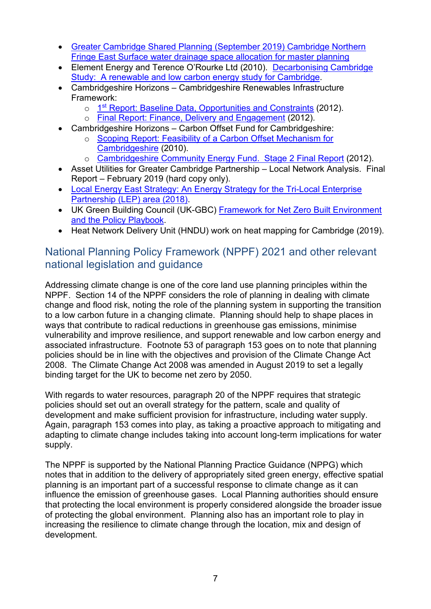- Greater Cambridge Shared Planning (September 2019) Cambridge Northern Fringe East Surface water drainage space allocation for master planning
- Element Energy and Terence O'Rourke Ltd (2010). [Decarbonising Cambridge](https://www.cambridge.gov.uk/media/2529/rd-cc-250.pdf)  [Study: A renewable and low carbon energy study for Cambridge.](https://www.cambridge.gov.uk/media/2529/rd-cc-250.pdf)
- Cambridgeshire Horizons Cambridgeshire Renewables Infrastructure Framework:
	- o 1<sup>st</sup> [Report: Baseline Data, Opportunities and Constraints](https://files.cambridge.gov.uk/public/ldf/coredocs/RD-CC/RD-CC-050.pdf) (2012).
	- [Final Report: Finance, Delivery and Engagement](https://files.cambridge.gov.uk/public/ldf/coredocs/rd-cc-040.pdf) (2012).
- Cambridgeshire Horizons Carbon Offset Fund for Cambridgeshire:
	- o [Scoping Report: Feasibility of a Carbon Offset Mechanism for](https://files.cambridge.gov.uk/public/ldf/coredocs/Stage%201%20Carbon%20Offset%20Report.pdf)  [Cambridgeshire](https://files.cambridge.gov.uk/public/ldf/coredocs/Stage%201%20Carbon%20Offset%20Report.pdf) (2010).
	- o [Cambridgeshire Community Energy Fund. Stage 2 Final Report](https://files.cambridge.gov.uk/public/ldf/coredocs/Stage%202%20Community%20Energy%20Fund%20Report.pdf) (2012).
- Asset Utilities for Greater Cambridge Partnership Local Network Analysis. Final Report – February 2019 (hard copy only).
- [Local Energy East Strategy: An Energy Strategy for the Tri-Local Enterprise](https://www.energyhub.org.uk/wp-content/uploads/2019/09/LEE-Energy-Strategy.pdf)  [Partnership \(LEP\) area \(2018\).](https://www.energyhub.org.uk/wp-content/uploads/2019/09/LEE-Energy-Strategy.pdf)
- UK Green Building Council (UK-GBC) [Framework for Net Zero Built Environment](https://www.ukgbc.org/ukgbc-work/advancing-net-zero/)  [and the Policy Playbook.](https://www.ukgbc.org/ukgbc-work/advancing-net-zero/)
- Heat Network Delivery Unit (HNDU) work on heat mapping for Cambridge (2019).

# <span id="page-6-0"></span>National Planning Policy Framework (NPPF) 2021 and other relevant national legislation and guidance

Addressing climate change is one of the core land use planning principles within the NPPF. Section 14 of the NPPF considers the role of planning in dealing with climate change and flood risk, noting the role of the planning system in supporting the transition to a low carbon future in a changing climate. Planning should help to shape places in ways that contribute to radical reductions in greenhouse gas emissions, minimise vulnerability and improve resilience, and support renewable and low carbon energy and associated infrastructure. Footnote 53 of paragraph 153 goes on to note that planning policies should be in line with the objectives and provision of the Climate Change Act 2008. The Climate Change Act 2008 was amended in August 2019 to set a legally binding target for the UK to become net zero by 2050.

With regards to water resources, paragraph 20 of the NPPF requires that strategic policies should set out an overall strategy for the pattern, scale and quality of development and make sufficient provision for infrastructure, including water supply. Again, paragraph 153 comes into play, as taking a proactive approach to mitigating and adapting to climate change includes taking into account long-term implications for water supply.

The NPPF is supported by the National Planning Practice Guidance (NPPG) which notes that in addition to the delivery of appropriately sited green energy, effective spatial planning is an important part of a successful response to climate change as it can influence the emission of greenhouse gases. Local Planning authorities should ensure that protecting the local environment is properly considered alongside the broader issue of protecting the global environment. Planning also has an important role to play in increasing the resilience to climate change through the location, mix and design of development.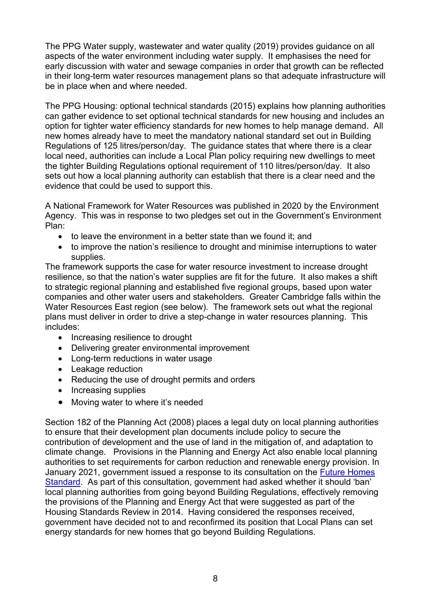The PPG Water supply, wastewater and water quality (2019) provides guidance on all aspects of the water environment including water supply. It emphasises the need for early discussion with water and sewage companies in order that growth can be reflected in their long-term water resources management plans so that adequate infrastructure will be in place when and where needed.

The PPG Housing: optional technical standards (2015) explains how planning authorities can gather evidence to set optional technical standards for new housing and includes an option for tighter water efficiency standards for new homes to help manage demand. All new homes already have to meet the mandatory national standard set out in Building Regulations of 125 litres/person/day. The guidance states that where there is a clear local need, authorities can include a Local Plan policy requiring new dwellings to meet the tighter Building Regulations optional requirement of 110 litres/person/day. It also sets out how a local planning authority can establish that there is a clear need and the evidence that could be used to support this.

A National Framework for Water Resources was published in 2020 by the Environment Agency. This was in response to two pledges set out in the Government's Environment Plan:

- to leave the environment in a better state than we found it; and
- to improve the nation's resilience to drought and minimise interruptions to water supplies.

The framework supports the case for water resource investment to increase drought resilience, so that the nation's water supplies are fit for the future. It also makes a shift to strategic regional planning and established five regional groups, based upon water companies and other water users and stakeholders. Greater Cambridge falls within the Water Resources East region (see below). The framework sets out what the regional plans must deliver in order to drive a step-change in water resources planning. This includes:

- Increasing resilience to drought
- Delivering greater environmental improvement
- Long-term reductions in water usage
- Leakage reduction
- Reducing the use of drought permits and orders
- Increasing supplies
- Moving water to where it's needed

Section 182 of the Planning Act (2008) places a legal duty on local planning authorities to ensure that their development plan documents include policy to secure the contribution of development and the use of land in the mitigation of, and adaptation to climate change. Provisions in the Planning and Energy Act also enable local planning authorities to set requirements for carbon reduction and renewable energy provision. In January 2021, government issued a response to its consultation on the [Future Homes](https://assets.publishing.service.gov.uk/government/uploads/system/uploads/attachment_data/file/956094/Government_response_to_Future_Homes_Standard_consultation.pdf)  [Standard.](https://assets.publishing.service.gov.uk/government/uploads/system/uploads/attachment_data/file/956094/Government_response_to_Future_Homes_Standard_consultation.pdf) As part of this consultation, government had asked whether it should 'ban' local planning authorities from going beyond Building Regulations, effectively removing the provisions of the Planning and Energy Act that were suggested as part of the Housing Standards Review in 2014. Having considered the responses received, government have decided not to and reconfirmed its position that Local Plans can set energy standards for new homes that go beyond Building Regulations.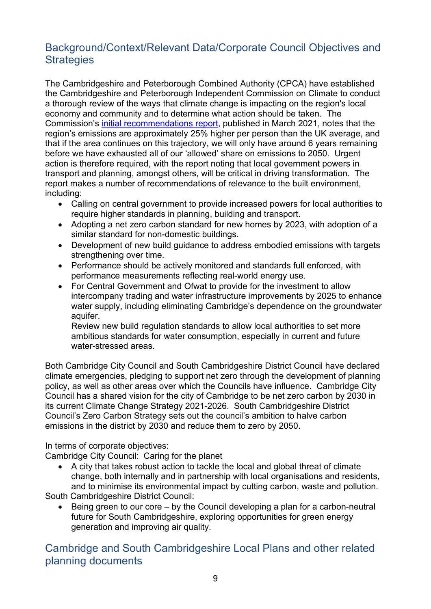# <span id="page-8-0"></span>Background/Context/Relevant Data/Corporate Council Objectives and **Strategies**

The Cambridgeshire and Peterborough Combined Authority (CPCA) have established the Cambridgeshire and Peterborough Independent Commission on Climate to conduct a thorough review of the ways that climate change is impacting on the region's local economy and community and to determine what action should be taken. The Commission's [initial recommendations report,](https://f.hubspotusercontent40.net/hubfs/6985942/CLIMATE%20COMMISSION%20REPORT_Final.pdf) published in March 2021, notes that the region's emissions are approximately 25% higher per person than the UK average, and that if the area continues on this trajectory, we will only have around 6 years remaining before we have exhausted all of our 'allowed' share on emissions to 2050. Urgent action is therefore required, with the report noting that local government powers in transport and planning, amongst others, will be critical in driving transformation. The report makes a number of recommendations of relevance to the built environment, including:

- Calling on central government to provide increased powers for local authorities to require higher standards in planning, building and transport.
- Adopting a net zero carbon standard for new homes by 2023, with adoption of a similar standard for non-domestic buildings.
- Development of new build guidance to address embodied emissions with targets strengthening over time.
- Performance should be actively monitored and standards full enforced, with performance measurements reflecting real-world energy use.
- For Central Government and Ofwat to provide for the investment to allow intercompany trading and water infrastructure improvements by 2025 to enhance water supply, including eliminating Cambridge's dependence on the groundwater aquifer.

Review new build regulation standards to allow local authorities to set more ambitious standards for water consumption, especially in current and future water-stressed areas.

Both Cambridge City Council and South Cambridgeshire District Council have declared climate emergencies, pledging to support net zero through the development of planning policy, as well as other areas over which the Councils have influence. Cambridge City Council has a shared vision for the city of Cambridge to be net zero carbon by 2030 in its current Climate Change Strategy 2021-2026. South Cambridgeshire District Council's Zero Carbon Strategy sets out the council's ambition to halve carbon emissions in the district by 2030 and reduce them to zero by 2050.

In terms of corporate objectives:

Cambridge City Council: Caring for the planet

• A city that takes robust action to tackle the local and global threat of climate change, both internally and in partnership with local organisations and residents, and to minimise its environmental impact by cutting carbon, waste and pollution.

South Cambridgeshire District Council:

• Being green to our core – by the Council developing a plan for a carbon-neutral future for South Cambridgeshire, exploring opportunities for green energy generation and improving air quality.

<span id="page-8-1"></span>Cambridge and South Cambridgeshire Local Plans and other related planning documents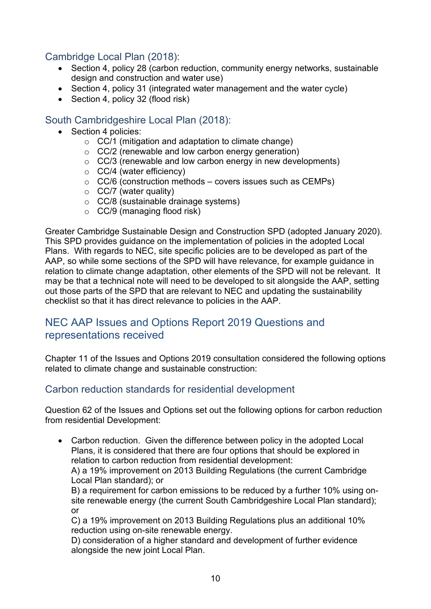# <span id="page-9-0"></span>Cambridge Local Plan (2018):

- Section 4, policy 28 (carbon reduction, community energy networks, sustainable design and construction and water use)
- Section 4, policy 31 (integrated water management and the water cycle)
- Section 4, policy 32 (flood risk)

# <span id="page-9-1"></span>South Cambridgeshire Local Plan (2018):

- Section 4 policies:
	- $\circ$  CC/1 (mitigation and adaptation to climate change)
	- o CC/2 (renewable and low carbon energy generation)
	- o CC/3 (renewable and low carbon energy in new developments)
	- o CC/4 (water efficiency)
	- $\circ$  CC/6 (construction methods covers issues such as CEMPs)
	- $\circ$  CC/7 (water quality)
	- o CC/8 (sustainable drainage systems)
	- $\circ$  CC/9 (managing flood risk)

Greater Cambridge Sustainable Design and Construction SPD (adopted January 2020). This SPD provides guidance on the implementation of policies in the adopted Local Plans. With regards to NEC, site specific policies are to be developed as part of the AAP, so while some sections of the SPD will have relevance, for example guidance in relation to climate change adaptation, other elements of the SPD will not be relevant. It may be that a technical note will need to be developed to sit alongside the AAP, setting out those parts of the SPD that are relevant to NEC and updating the sustainability checklist so that it has direct relevance to policies in the AAP.

# <span id="page-9-2"></span>NEC AAP Issues and Options Report 2019 Questions and representations received

Chapter 11 of the Issues and Options 2019 consultation considered the following options related to climate change and sustainable construction:

# <span id="page-9-3"></span>Carbon reduction standards for residential development

Question 62 of the Issues and Options set out the following options for carbon reduction from residential Development:

• Carbon reduction. Given the difference between policy in the adopted Local Plans, it is considered that there are four options that should be explored in relation to carbon reduction from residential development:

A) a 19% improvement on 2013 Building Regulations (the current Cambridge Local Plan standard); or

B) a requirement for carbon emissions to be reduced by a further 10% using onsite renewable energy (the current South Cambridgeshire Local Plan standard); or

C) a 19% improvement on 2013 Building Regulations plus an additional 10% reduction using on-site renewable energy.

D) consideration of a higher standard and development of further evidence alongside the new joint Local Plan.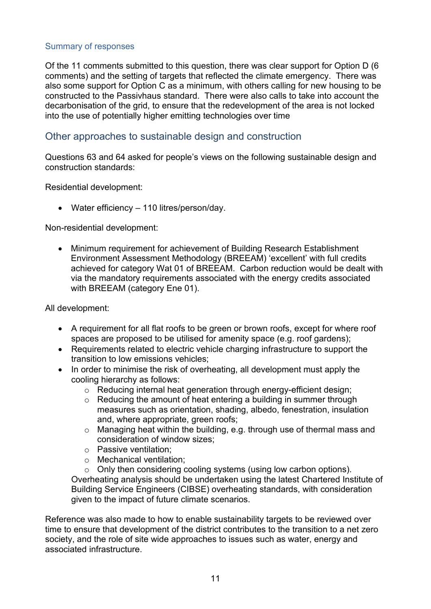#### Summary of responses

Of the 11 comments submitted to this question, there was clear support for Option D (6 comments) and the setting of targets that reflected the climate emergency. There was also some support for Option C as a minimum, with others calling for new housing to be constructed to the Passivhaus standard. There were also calls to take into account the decarbonisation of the grid, to ensure that the redevelopment of the area is not locked into the use of potentially higher emitting technologies over time

### <span id="page-10-0"></span>Other approaches to sustainable design and construction

Questions 63 and 64 asked for people's views on the following sustainable design and construction standards:

Residential development:

• Water efficiency – 110 litres/person/day.

Non-residential development:

• Minimum requirement for achievement of Building Research Establishment Environment Assessment Methodology (BREEAM) 'excellent' with full credits achieved for category Wat 01 of BREEAM. Carbon reduction would be dealt with via the mandatory requirements associated with the energy credits associated with BREEAM (category Ene 01).

All development:

- A requirement for all flat roofs to be green or brown roofs, except for where roof spaces are proposed to be utilised for amenity space (e.g. roof gardens);
- Requirements related to electric vehicle charging infrastructure to support the transition to low emissions vehicles;
- In order to minimise the risk of overheating, all development must apply the cooling hierarchy as follows:
	- o Reducing internal heat generation through energy-efficient design;
	- o Reducing the amount of heat entering a building in summer through measures such as orientation, shading, albedo, fenestration, insulation and, where appropriate, green roofs;
	- o Managing heat within the building, e.g. through use of thermal mass and consideration of window sizes;
	- o Passive ventilation;
	- o Mechanical ventilation;

o Only then considering cooling systems (using low carbon options). Overheating analysis should be undertaken using the latest Chartered Institute of Building Service Engineers (CIBSE) overheating standards, with consideration given to the impact of future climate scenarios.

Reference was also made to how to enable sustainability targets to be reviewed over time to ensure that development of the district contributes to the transition to a net zero society, and the role of site wide approaches to issues such as water, energy and associated infrastructure.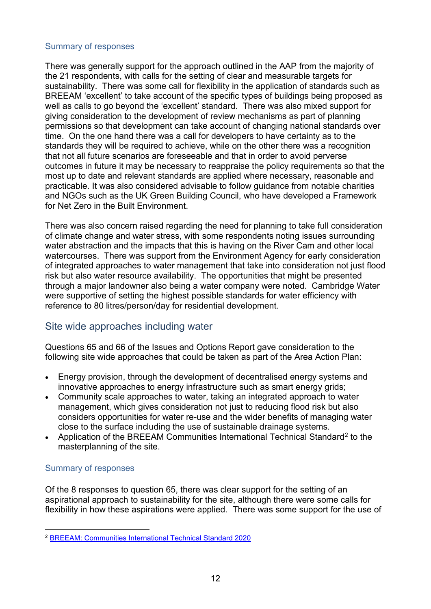#### Summary of responses

There was generally support for the approach outlined in the AAP from the majority of the 21 respondents, with calls for the setting of clear and measurable targets for sustainability. There was some call for flexibility in the application of standards such as BREEAM 'excellent' to take account of the specific types of buildings being proposed as well as calls to go beyond the 'excellent' standard. There was also mixed support for giving consideration to the development of review mechanisms as part of planning permissions so that development can take account of changing national standards over time. On the one hand there was a call for developers to have certainty as to the standards they will be required to achieve, while on the other there was a recognition that not all future scenarios are foreseeable and that in order to avoid perverse outcomes in future it may be necessary to reappraise the policy requirements so that the most up to date and relevant standards are applied where necessary, reasonable and practicable. It was also considered advisable to follow guidance from notable charities and NGOs such as the UK Green Building Council, who have developed a Framework for Net Zero in the Built Environment.

There was also concern raised regarding the need for planning to take full consideration of climate change and water stress, with some respondents noting issues surrounding water abstraction and the impacts that this is having on the River Cam and other local watercourses. There was support from the Environment Agency for early consideration of integrated approaches to water management that take into consideration not just flood risk but also water resource availability. The opportunities that might be presented through a major landowner also being a water company were noted. Cambridge Water were supportive of setting the highest possible standards for water efficiency with reference to 80 litres/person/day for residential development.

# <span id="page-11-0"></span>Site wide approaches including water

Questions 65 and 66 of the Issues and Options Report gave consideration to the following site wide approaches that could be taken as part of the Area Action Plan:

- Energy provision, through the development of decentralised energy systems and innovative approaches to energy infrastructure such as smart energy grids;
- Community scale approaches to water, taking an integrated approach to water management, which gives consideration not just to reducing flood risk but also considers opportunities for water re-use and the wider benefits of managing water close to the surface including the use of sustainable drainage systems.
- Application of the BREEAM [Communities](https://www.breeam.com/discover/technical-standards/communities/) International Technical Standard<sup>[2](#page-11-1)</sup> to the masterplanning of the site.

#### Summary of responses

Of the 8 responses to question 65, there was clear support for the setting of an aspirational approach to sustainability for the site, although there were some calls for flexibility in how these aspirations were applied. There was some support for the use of

<span id="page-11-1"></span><sup>2</sup> [BREEAM: Communities International Technical Standard 2020](https://www.breeam.com/discover/technical-standards/communities/)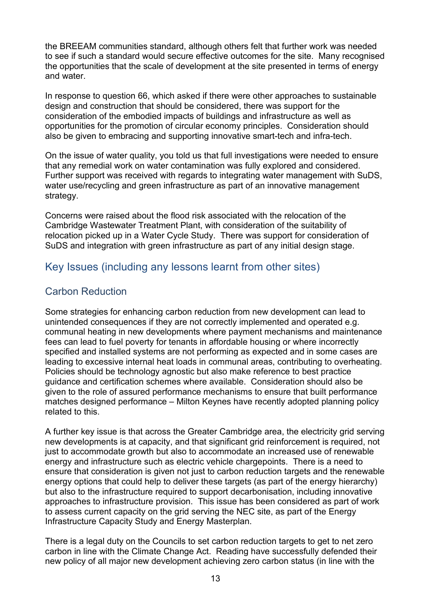the BREEAM communities standard, although others felt that further work was needed to see if such a standard would secure effective outcomes for the site. Many recognised the opportunities that the scale of development at the site presented in terms of energy and water.

In response to question 66, which asked if there were other approaches to sustainable design and construction that should be considered, there was support for the consideration of the embodied impacts of buildings and infrastructure as well as opportunities for the promotion of circular economy principles. Consideration should also be given to embracing and supporting innovative smart-tech and infra-tech.

On the issue of water quality, you told us that full investigations were needed to ensure that any remedial work on water contamination was fully explored and considered. Further support was received with regards to integrating water management with SuDS, water use/recycling and green infrastructure as part of an innovative management strategy.

Concerns were raised about the flood risk associated with the relocation of the Cambridge Wastewater Treatment Plant, with consideration of the suitability of relocation picked up in a Water Cycle Study. There was support for consideration of SuDS and integration with green infrastructure as part of any initial design stage.

# <span id="page-12-0"></span>Key Issues (including any lessons learnt from other sites)

# <span id="page-12-1"></span>Carbon Reduction

Some strategies for enhancing carbon reduction from new development can lead to unintended consequences if they are not correctly implemented and operated e.g. communal heating in new developments where payment mechanisms and maintenance fees can lead to fuel poverty for tenants in affordable housing or where incorrectly specified and installed systems are not performing as expected and in some cases are leading to excessive internal heat loads in communal areas, contributing to overheating. Policies should be technology agnostic but also make reference to best practice guidance and certification schemes where available.Consideration should also be given to the role of assured performance mechanisms to ensure that built performance matches designed performance – Milton Keynes have recently adopted planning policy related to this.

A further key issue is that across the Greater Cambridge area, the electricity grid serving new developments is at capacity, and that significant grid reinforcement is required, not just to accommodate growth but also to accommodate an increased use of renewable energy and infrastructure such as electric vehicle chargepoints. There is a need to ensure that consideration is given not just to carbon reduction targets and the renewable energy options that could help to deliver these targets (as part of the energy hierarchy) but also to the infrastructure required to support decarbonisation, including innovative approaches to infrastructure provision. This issue has been considered as part of work to assess current capacity on the grid serving the NEC site, as part of the Energy Infrastructure Capacity Study and Energy Masterplan.

There is a legal duty on the Councils to set carbon reduction targets to get to net zero carbon in line with the Climate Change Act. Reading have successfully defended their new policy of all major new development achieving zero carbon status (in line with the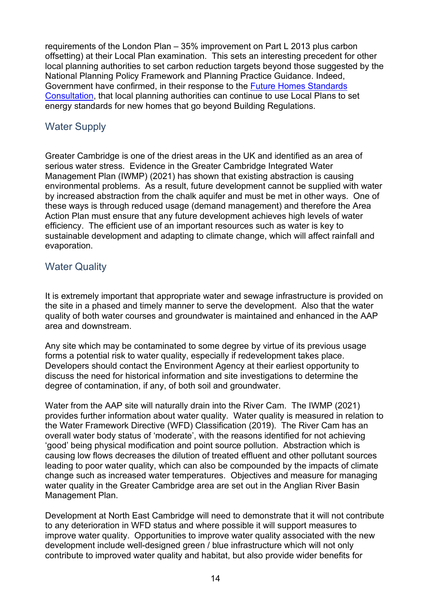requirements of the London Plan – 35% improvement on Part L 2013 plus carbon offsetting) at their Local Plan examination. This sets an interesting precedent for other local planning authorities to set carbon reduction targets beyond those suggested by the National Planning Policy Framework and Planning Practice Guidance. Indeed, Government have confirmed, in their response to the [Future Homes Standards](https://assets.publishing.service.gov.uk/government/uploads/system/uploads/attachment_data/file/953731/Government_response_to_Future_Homes_Standard_consultation.pdf)  [Consultation,](https://assets.publishing.service.gov.uk/government/uploads/system/uploads/attachment_data/file/953731/Government_response_to_Future_Homes_Standard_consultation.pdf) that local planning authorities can continue to use Local Plans to set energy standards for new homes that go beyond Building Regulations.

# <span id="page-13-0"></span>Water Supply

Greater Cambridge is one of the driest areas in the UK and identified as an area of serious water stress. Evidence in the Greater Cambridge Integrated Water Management Plan (IWMP) (2021) has shown that existing abstraction is causing environmental problems. As a result, future development cannot be supplied with water by increased abstraction from the chalk aquifer and must be met in other ways. One of these ways is through reduced usage (demand management) and therefore the Area Action Plan must ensure that any future development achieves high levels of water efficiency. The efficient use of an important resources such as water is key to sustainable development and adapting to climate change, which will affect rainfall and evaporation.

## <span id="page-13-1"></span>Water Quality

It is extremely important that appropriate water and sewage infrastructure is provided on the site in a phased and timely manner to serve the development. Also that the water quality of both water courses and groundwater is maintained and enhanced in the AAP area and downstream.

Any site which may be contaminated to some degree by virtue of its previous usage forms a potential risk to water quality, especially if redevelopment takes place. Developers should contact the Environment Agency at their earliest opportunity to discuss the need for historical information and site investigations to determine the degree of contamination, if any, of both soil and groundwater.

Water from the AAP site will naturally drain into the River Cam. The IWMP (2021) provides further information about water quality. Water quality is measured in relation to the Water Framework Directive (WFD) Classification (2019). The River Cam has an overall water body status of 'moderate', with the reasons identified for not achieving 'good' being physical modification and point source pollution. Abstraction which is causing low flows decreases the dilution of treated effluent and other pollutant sources leading to poor water quality, which can also be compounded by the impacts of climate change such as increased water temperatures. Objectives and measure for managing water quality in the Greater Cambridge area are set out in the Anglian River Basin Management Plan.

Development at North East Cambridge will need to demonstrate that it will not contribute to any deterioration in WFD status and where possible it will support measures to improve water quality. Opportunities to improve water quality associated with the new development include well-designed green / blue infrastructure which will not only contribute to improved water quality and habitat, but also provide wider benefits for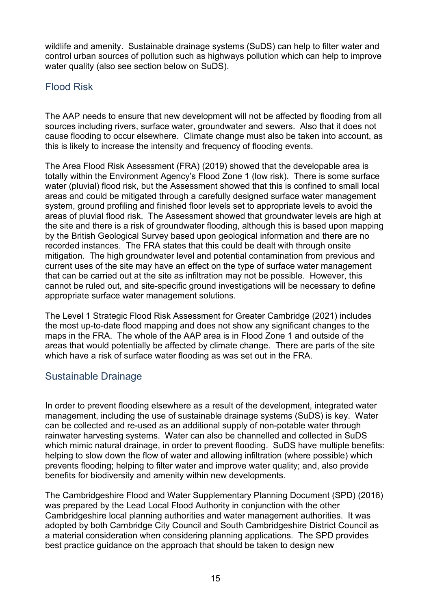wildlife and amenity. Sustainable drainage systems (SuDS) can help to filter water and control urban sources of pollution such as highways pollution which can help to improve water quality (also see section below on SuDS).

# <span id="page-14-0"></span>Flood Risk

The AAP needs to ensure that new development will not be affected by flooding from all sources including rivers, surface water, groundwater and sewers. Also that it does not cause flooding to occur elsewhere. Climate change must also be taken into account, as this is likely to increase the intensity and frequency of flooding events.

The Area Flood Risk Assessment (FRA) (2019) showed that the developable area is totally within the Environment Agency's Flood Zone 1 (low risk). There is some surface water (pluvial) flood risk, but the Assessment showed that this is confined to small local areas and could be mitigated through a carefully designed surface water management system, ground profiling and finished floor levels set to appropriate levels to avoid the areas of pluvial flood risk. The Assessment showed that groundwater levels are high at the site and there is a risk of groundwater flooding, although this is based upon mapping by the British Geological Survey based upon geological information and there are no recorded instances. The FRA states that this could be dealt with through onsite mitigation. The high groundwater level and potential contamination from previous and current uses of the site may have an effect on the type of surface water management that can be carried out at the site as infiltration may not be possible. However, this cannot be ruled out, and site-specific ground investigations will be necessary to define appropriate surface water management solutions.

The Level 1 Strategic Flood Risk Assessment for Greater Cambridge (2021) includes the most up-to-date flood mapping and does not show any significant changes to the maps in the FRA. The whole of the AAP area is in Flood Zone 1 and outside of the areas that would potentially be affected by climate change. There are parts of the site which have a risk of surface water flooding as was set out in the FRA.

# <span id="page-14-1"></span>Sustainable Drainage

In order to prevent flooding elsewhere as a result of the development, integrated water management, including the use of sustainable drainage systems (SuDS) is key. Water can be collected and re-used as an additional supply of non-potable water through rainwater harvesting systems. Water can also be channelled and collected in SuDS which mimic natural drainage, in order to prevent flooding. SuDS have multiple benefits: helping to slow down the flow of water and allowing infiltration (where possible) which prevents flooding; helping to filter water and improve water quality; and, also provide benefits for biodiversity and amenity within new developments.

The [Cambridgeshire Flood and Water Supplementary Planning Document](https://www.scambs.gov.uk/media/3313/cambridgeshire_flood_and_water_spd_reduced_size_08-11-16.pdf) (SPD) (2016) was prepared by the Lead Local Flood Authority in conjunction with the other Cambridgeshire local planning authorities and water management authorities. It was adopted by both Cambridge City Council and South Cambridgeshire District Council as a material consideration when considering planning applications. The SPD provides best practice guidance on the approach that should be taken to design new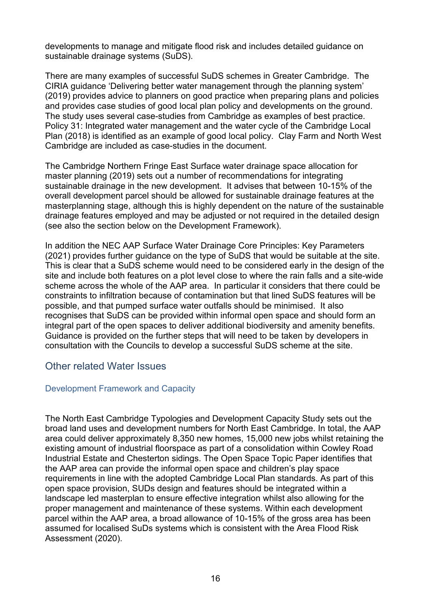developments to manage and mitigate flood risk and includes detailed guidance on sustainable drainage systems (SuDS).

There are many examples of successful SuDS schemes in Greater Cambridge. The CIRIA guidance ['Delivering better water management through the planning system'](https://www.gov.uk/guidance/local-planning-authorities-strategic-flood-risk-assessment) (2019) provides advice to planners on good practice when preparing plans and policies and provides case studies of good local plan policy and developments on the ground. The study uses several case-studies from Cambridge as examples of best practice. Policy 31: Integrated water management and the water cycle of the Cambridge Local Plan (2018) is identified as an example of good local policy. Clay Farm and North West Cambridge are included as case-studies in the document.

The Cambridge Northern Fringe East Surface water drainage space allocation for master planning (2019) sets out a number of recommendations for integrating sustainable drainage in the new development. It advises that between 10-15% of the overall development parcel should be allowed for sustainable drainage features at the masterplanning stage, although this is highly dependent on the nature of the sustainable drainage features employed and may be adjusted or not required in the detailed design (see also the section below on the Development Framework).

In addition the NEC AAP Surface Water Drainage Core Principles: Key Parameters (2021) provides further guidance on the type of SuDS that would be suitable at the site. This is clear that a SuDS scheme would need to be considered early in the design of the site and include both features on a plot level close to where the rain falls and a site-wide scheme across the whole of the AAP area. In particular it considers that there could be constraints to infiltration because of contamination but that lined SuDS features will be possible, and that pumped surface water outfalls should be minimised. It also recognises that SuDS can be provided within informal open space and should form an integral part of the open spaces to deliver additional biodiversity and amenity benefits. Guidance is provided on the further steps that will need to be taken by developers in consultation with the Councils to develop a successful SuDS scheme at the site.

#### <span id="page-15-0"></span>Other related Water Issues

#### Development Framework and Capacity

The North East Cambridge Typologies and Development Capacity Study sets out the broad land uses and development numbers for North East Cambridge. In total, the AAP area could deliver approximately 8,350 new homes, 15,000 new jobs whilst retaining the existing amount of industrial floorspace as part of a consolidation within Cowley Road Industrial Estate and Chesterton sidings. The Open Space Topic Paper identifies that the AAP area can provide the informal open space and children's play space requirements in line with the adopted Cambridge Local Plan standards. As part of this open space provision, SUDs design and features should be integrated within a landscape led masterplan to ensure effective integration whilst also allowing for the proper management and maintenance of these systems. Within each development parcel within the AAP area, a broad allowance of 10-15% of the gross area has been assumed for localised SuDs systems which is consistent with the Area Flood Risk Assessment (2020).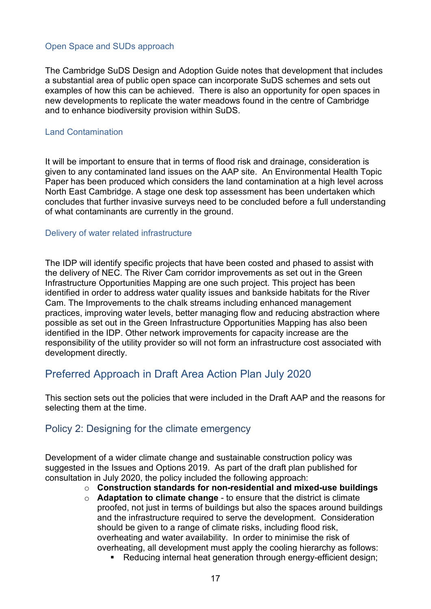#### Open Space and SUDs approach

The Cambridge SuDS Design and Adoption Guide notes that development that includes a substantial area of public open space can incorporate SuDS schemes and sets out examples of how this can be achieved. There is also an opportunity for open spaces in new developments to replicate the water meadows found in the centre of Cambridge and to enhance biodiversity provision within SuDS.

#### Land Contamination

It will be important to ensure that in terms of flood risk and drainage, consideration is given to any contaminated land issues on the AAP site. An Environmental Health Topic Paper has been produced which considers the land contamination at a high level across North East Cambridge. A stage one desk top assessment has been undertaken which concludes that further invasive surveys need to be concluded before a full understanding of what contaminants are currently in the ground.

#### Delivery of water related infrastructure

The IDP will identify specific projects that have been costed and phased to assist with the delivery of NEC. The River Cam corridor improvements as set out in the Green Infrastructure Opportunities Mapping are one such project. This project has been identified in order to address water quality issues and bankside habitats for the River Cam. The Improvements to the chalk streams including enhanced management practices, improving water levels, better managing flow and reducing abstraction where possible as set out in the Green Infrastructure Opportunities Mapping has also been identified in the IDP. Other network improvements for capacity increase are the responsibility of the utility provider so will not form an infrastructure cost associated with development directly.

# <span id="page-16-0"></span>Preferred Approach in Draft Area Action Plan July 2020

This section sets out the policies that were included in the Draft AAP and the reasons for selecting them at the time.

#### <span id="page-16-1"></span>Policy 2: Designing for the climate emergency

Development of a wider climate change and sustainable construction policy was suggested in the Issues and Options 2019. As part of the draft plan published for consultation in July 2020, the policy included the following approach:

- o **Construction standards for non-residential and mixed-use buildings**
- o **Adaptation to climate change** to ensure that the district is climate proofed, not just in terms of buildings but also the spaces around buildings and the infrastructure required to serve the development. Consideration should be given to a range of climate risks, including flood risk, overheating and water availability. In order to minimise the risk of overheating, all development must apply the cooling hierarchy as follows:
	- Reducing internal heat generation through energy-efficient design;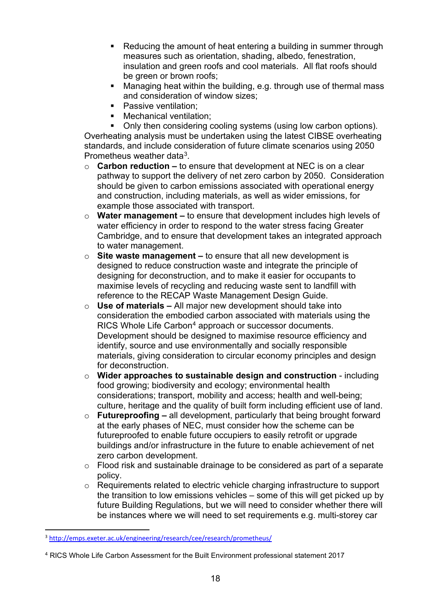- Reducing the amount of heat entering a building in summer through measures such as orientation, shading, albedo, fenestration, insulation and green roofs and cool materials. All flat roofs should be green or brown roofs:
- Managing heat within the building, e.g. through use of thermal mass and consideration of window sizes;
- **Passive ventilation:**
- Mechanical ventilation;

 Only then considering cooling systems (using low carbon options). Overheating analysis must be undertaken using the latest CIBSE overheating standards, and include consideration of future climate scenarios using 2050 Prometheus weather data[3.](#page-17-0)

- o **Carbon reduction –** to ensure that development at NEC is on a clear pathway to support the delivery of net zero carbon by 2050. Consideration should be given to carbon emissions associated with operational energy and construction, including materials, as well as wider emissions, for example those associated with transport.
- o **Water management –** to ensure that development includes high levels of water efficiency in order to respond to the water stress facing Greater Cambridge, and to ensure that development takes an integrated approach to water management.
- o **Site waste management –** to ensure that all new development is designed to reduce construction waste and integrate the principle of designing for deconstruction, and to make it easier for occupants to maximise levels of recycling and reducing waste sent to landfill with reference to the RECAP Waste Management Design Guide.
- o **Use of materials –** All major new development should take into consideration the embodied carbon associated with materials using the RICS Whole Life Carbon<sup>[4](#page-17-1)</sup> approach or successor documents. Development should be designed to maximise resource efficiency and identify, source and use environmentally and socially responsible materials, giving consideration to circular economy principles and design for deconstruction.
- o **Wider approaches to sustainable design and construction**  including food growing; biodiversity and ecology; environmental health considerations; transport, mobility and access; health and well-being; culture, heritage and the quality of built form including efficient use of land.
- o **Futureproofing –** all development, particularly that being brought forward at the early phases of NEC, must consider how the scheme can be futureproofed to enable future occupiers to easily retrofit or upgrade buildings and/or infrastructure in the future to enable achievement of net zero carbon development.
- o Flood risk and sustainable drainage to be considered as part of a separate policy.
- o Requirements related to electric vehicle charging infrastructure to support the transition to low emissions vehicles – some of this will get picked up by future Building Regulations, but we will need to consider whether there will be instances where we will need to set requirements e.g. multi-storey car

<span id="page-17-0"></span><sup>3</sup> <http://emps.exeter.ac.uk/engineering/research/cee/research/prometheus/>

<span id="page-17-1"></span><sup>4</sup> RICS Whole Life Carbon Assessment for the Built Environment professional statement 2017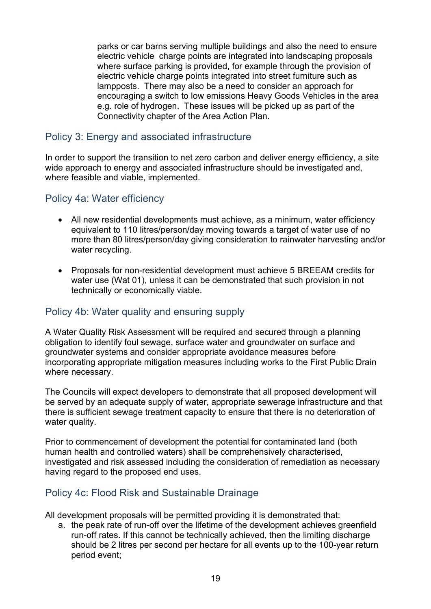parks or car barns serving multiple buildings and also the need to ensure electric vehicle charge points are integrated into landscaping proposals where surface parking is provided, for example through the provision of electric vehicle charge points integrated into street furniture such as lampposts. There may also be a need to consider an approach for encouraging a switch to low emissions Heavy Goods Vehicles in the area e.g. role of hydrogen. These issues will be picked up as part of the Connectivity chapter of the Area Action Plan.

## <span id="page-18-0"></span>Policy 3: Energy and associated infrastructure

In order to support the transition to net zero carbon and deliver energy efficiency, a site wide approach to energy and associated infrastructure should be investigated and, where feasible and viable, implemented.

## <span id="page-18-1"></span>Policy 4a: Water efficiency

- All new residential developments must achieve, as a minimum, water efficiency equivalent to 110 litres/person/day moving towards a target of water use of no more than 80 litres/person/day giving consideration to rainwater harvesting and/or water recycling.
- Proposals for non-residential development must achieve 5 BREEAM credits for water use (Wat 01), unless it can be demonstrated that such provision in not technically or economically viable.

### <span id="page-18-2"></span>Policy 4b: Water quality and ensuring supply

A Water Quality Risk Assessment will be required and secured through a planning obligation to identify foul sewage, surface water and groundwater on surface and groundwater systems and consider appropriate avoidance measures before incorporating appropriate mitigation measures including works to the First Public Drain where necessary.

The Councils will expect developers to demonstrate that all proposed development will be served by an adequate supply of water, appropriate sewerage infrastructure and that there is sufficient sewage treatment capacity to ensure that there is no deterioration of water quality.

Prior to commencement of development the potential for contaminated land (both human health and controlled waters) shall be comprehensively characterised, investigated and risk assessed including the consideration of remediation as necessary having regard to the proposed end uses.

### <span id="page-18-3"></span>Policy 4c: Flood Risk and Sustainable Drainage

All development proposals will be permitted providing it is demonstrated that:

a. the peak rate of run-off over the lifetime of the development achieves greenfield run-off rates. If this cannot be technically achieved, then the limiting discharge should be 2 litres per second per hectare for all events up to the 100-year return period event;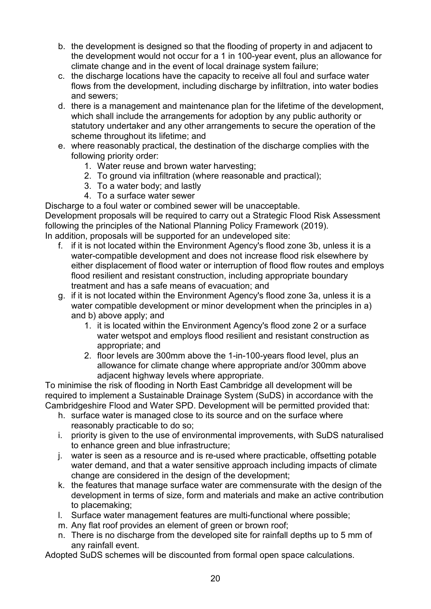- b. the development is designed so that the flooding of property in and adjacent to the development would not occur for a 1 in 100-year event, plus an allowance for climate change and in the event of local drainage system failure;
- c. the discharge locations have the capacity to receive all foul and surface water flows from the development, including discharge by infiltration, into water bodies and sewers;
- d. there is a management and maintenance plan for the lifetime of the development, which shall include the arrangements for adoption by any public authority or statutory undertaker and any other arrangements to secure the operation of the scheme throughout its lifetime; and
- e. where reasonably practical, the destination of the discharge complies with the following priority order:
	- 1. Water reuse and brown water harvesting;
	- 2. To ground via infiltration (where reasonable and practical);
	- 3. To a water body; and lastly
	- 4. To a surface water sewer

Discharge to a foul water or combined sewer will be unacceptable.

Development proposals will be required to carry out a Strategic Flood Risk Assessment following the principles of the National Planning Policy Framework (2019). In addition, proposals will be supported for an undeveloped site:

- f. if it is not located within the Environment Agency's flood zone 3b, unless it is a water-compatible development and does not increase flood risk elsewhere by either displacement of flood water or interruption of flood flow routes and employs flood resilient and resistant construction, including appropriate boundary treatment and has a safe means of evacuation; and
- g. if it is not located within the Environment Agency's flood zone 3a, unless it is a water compatible development or minor development when the principles in a) and b) above apply; and
	- 1. it is located within the Environment Agency's flood zone 2 or a surface water wetspot and employs flood resilient and resistant construction as appropriate; and
	- 2. floor levels are 300mm above the 1-in-100-years flood level, plus an allowance for climate change where appropriate and/or 300mm above adjacent highway levels where appropriate.

To minimise the risk of flooding in North East Cambridge all development will be required to implement a Sustainable Drainage System (SuDS) in accordance with the Cambridgeshire Flood and Water SPD. Development will be permitted provided that:

- h. surface water is managed close to its source and on the surface where reasonably practicable to do so;
- i. priority is given to the use of environmental improvements, with SuDS naturalised to enhance green and blue infrastructure;
- j. water is seen as a resource and is re-used where practicable, offsetting potable water demand, and that a water sensitive approach including impacts of climate change are considered in the design of the development;
- k. the features that manage surface water are commensurate with the design of the development in terms of size, form and materials and make an active contribution to placemaking;
- l. Surface water management features are multi-functional where possible;
- m. Any flat roof provides an element of green or brown roof;
- n. There is no discharge from the developed site for rainfall depths up to 5 mm of any rainfall event.

Adopted SuDS schemes will be discounted from formal open space calculations.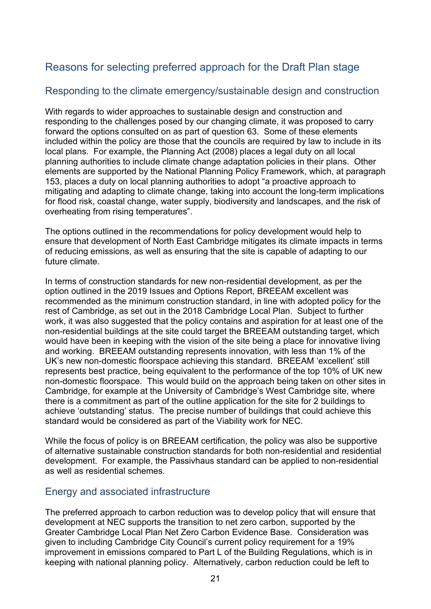# <span id="page-20-0"></span>Reasons for selecting preferred approach for the Draft Plan stage

## <span id="page-20-1"></span>Responding to the climate emergency/sustainable design and construction

With regards to wider approaches to sustainable design and construction and responding to the challenges posed by our changing climate, it was proposed to carry forward the options consulted on as part of question 63. Some of these elements included within the policy are those that the councils are required by law to include in its local plans. For example, the Planning Act (2008) places a legal duty on all local planning authorities to include climate change adaptation policies in their plans. Other elements are supported by the National Planning Policy Framework, which, at paragraph 153, places a duty on local planning authorities to adopt "a proactive approach to mitigating and adapting to climate change, taking into account the long-term implications for flood risk, coastal change, water supply, biodiversity and landscapes, and the risk of overheating from rising temperatures".

The options outlined in the recommendations for policy development would help to ensure that development of North East Cambridge mitigates its climate impacts in terms of reducing emissions, as well as ensuring that the site is capable of adapting to our future climate.

In terms of construction standards for new non-residential development, as per the option outlined in the 2019 Issues and Options Report, BREEAM excellent was recommended as the minimum construction standard, in line with adopted policy for the rest of Cambridge, as set out in the 2018 Cambridge Local Plan. Subject to further work, it was also suggested that the policy contains and aspiration for at least one of the non-residential buildings at the site could target the BREEAM outstanding target, which would have been in keeping with the vision of the site being a place for innovative living and working. BREEAM outstanding represents innovation, with less than 1% of the UK's new non-domestic floorspace achieving this standard. BREEAM 'excellent' still represents best practice, being equivalent to the performance of the top 10% of UK new non-domestic floorspace. This would build on the approach being taken on other sites in Cambridge, for example at the University of Cambridge's West Cambridge site, where there is a commitment as part of the outline application for the site for 2 buildings to achieve 'outstanding' status. The precise number of buildings that could achieve this standard would be considered as part of the Viability work for NEC.

While the focus of policy is on BREEAM certification, the policy was also be supportive of alternative sustainable construction standards for both non-residential and residential development. For example, the Passivhaus standard can be applied to non-residential as well as residential schemes.

### <span id="page-20-2"></span>Energy and associated infrastructure

The preferred approach to carbon reduction was to develop policy that will ensure that development at NEC supports the transition to net zero carbon, supported by the Greater Cambridge Local Plan Net Zero Carbon Evidence Base. Consideration was given to including Cambridge City Council's current policy requirement for a 19% improvement in emissions compared to Part L of the Building Regulations, which is in keeping with national planning policy. Alternatively, carbon reduction could be left to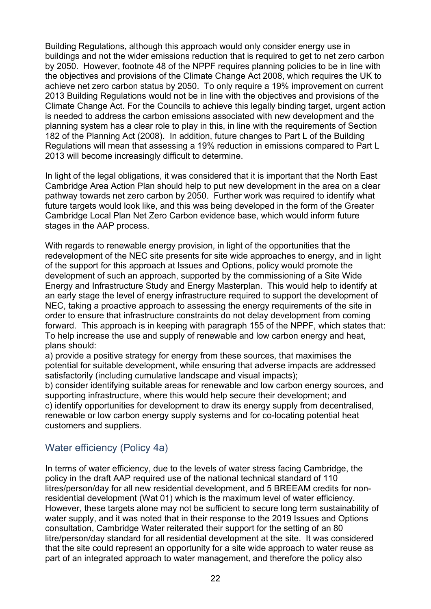Building Regulations, although this approach would only consider energy use in buildings and not the wider emissions reduction that is required to get to net zero carbon by 2050. However, footnote 48 of the NPPF requires planning policies to be in line with the objectives and provisions of the Climate Change Act 2008, which requires the UK to achieve net zero carbon status by 2050. To only require a 19% improvement on current 2013 Building Regulations would not be in line with the objectives and provisions of the Climate Change Act. For the Councils to achieve this legally binding target, urgent action is needed to address the carbon emissions associated with new development and the planning system has a clear role to play in this, in line with the requirements of Section 182 of the Planning Act (2008). In addition, future changes to Part L of the Building Regulations will mean that assessing a 19% reduction in emissions compared to Part L 2013 will become increasingly difficult to determine.

In light of the legal obligations, it was considered that it is important that the North East Cambridge Area Action Plan should help to put new development in the area on a clear pathway towards net zero carbon by 2050. Further work was required to identify what future targets would look like, and this was being developed in the form of the Greater Cambridge Local Plan Net Zero Carbon evidence base, which would inform future stages in the AAP process.

With regards to renewable energy provision, in light of the opportunities that the redevelopment of the NEC site presents for site wide approaches to energy, and in light of the support for this approach at Issues and Options, policy would promote the development of such an approach, supported by the commissioning of a Site Wide Energy and Infrastructure Study and Energy Masterplan. This would help to identify at an early stage the level of energy infrastructure required to support the development of NEC, taking a proactive approach to assessing the energy requirements of the site in order to ensure that infrastructure constraints do not delay development from coming forward. This approach is in keeping with paragraph 155 of the NPPF, which states that: To help increase the use and supply of renewable and low carbon energy and heat, plans should:

a) provide a positive strategy for energy from these sources, that maximises the potential for suitable development, while ensuring that adverse impacts are addressed satisfactorily (including cumulative landscape and visual impacts);

b) consider identifying suitable areas for renewable and low carbon energy sources, and supporting infrastructure, where this would help secure their development; and c) identify opportunities for development to draw its energy supply from decentralised, renewable or low carbon energy supply systems and for co-locating potential heat customers and suppliers.

# <span id="page-21-0"></span>Water efficiency (Policy 4a)

In terms of water efficiency, due to the levels of water stress facing Cambridge, the policy in the draft AAP required use of the national technical standard of 110 litres/person/day for all new residential development, and 5 BREEAM credits for nonresidential development (Wat 01) which is the maximum level of water efficiency. However, these targets alone may not be sufficient to secure long term sustainability of water supply, and it was noted that in their response to the 2019 Issues and Options consultation, Cambridge Water reiterated their support for the setting of an 80 litre/person/day standard for all residential development at the site. It was considered that the site could represent an opportunity for a site wide approach to water reuse as part of an integrated approach to water management, and therefore the policy also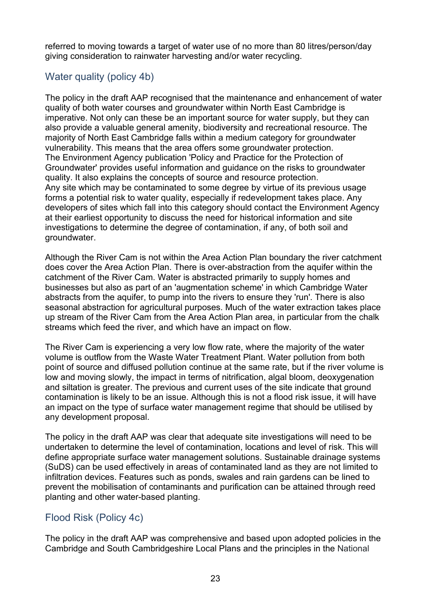referred to moving towards a target of water use of no more than 80 litres/person/day giving consideration to rainwater harvesting and/or water recycling.

# <span id="page-22-0"></span>Water quality (policy 4b)

The policy in the draft AAP recognised that the maintenance and enhancement of water quality of both water courses and groundwater within North East Cambridge is imperative. Not only can these be an important source for water supply, but they can also provide a valuable general amenity, biodiversity and recreational resource. The majority of North East Cambridge falls within a medium category for groundwater vulnerability. This means that the area offers some groundwater protection. The Environment Agency publication 'Policy and Practice for the Protection of Groundwater' provides useful information and guidance on the risks to groundwater quality. It also explains the concepts of source and resource protection. Any site which may be contaminated to some degree by virtue of its previous usage forms a potential risk to water quality, especially if redevelopment takes place. Any developers of sites which fall into this category should contact the Environment Agency at their earliest opportunity to discuss the need for historical information and site investigations to determine the degree of contamination, if any, of both soil and groundwater.

Although the River Cam is not within the Area Action Plan boundary the river catchment does cover the Area Action Plan. There is over-abstraction from the aquifer within the catchment of the River Cam. Water is abstracted primarily to supply homes and businesses but also as part of an 'augmentation scheme' in which Cambridge Water abstracts from the aquifer, to pump into the rivers to ensure they 'run'. There is also seasonal abstraction for agricultural purposes. Much of the water extraction takes place up stream of the River Cam from the Area Action Plan area, in particular from the chalk streams which feed the river, and which have an impact on flow.

The River Cam is experiencing a very low flow rate, where the majority of the water volume is outflow from the Waste Water Treatment Plant. Water pollution from both point of source and diffused pollution continue at the same rate, but if the river volume is low and moving slowly, the impact in terms of nitrification, algal bloom, deoxygenation and siltation is greater. The previous and current uses of the site indicate that ground contamination is likely to be an issue. Although this is not a flood risk issue, it will have an impact on the type of surface water management regime that should be utilised by any development proposal.

The policy in the draft AAP was clear that adequate site investigations will need to be undertaken to determine the level of contamination, locations and level of risk. This will define appropriate surface water management solutions. Sustainable drainage systems (SuDS) can be used effectively in areas of contaminated land as they are not limited to infiltration devices. Features such as ponds, swales and rain gardens can be lined to prevent the mobilisation of contaminants and purification can be attained through reed planting and other water-based planting.

# <span id="page-22-1"></span>Flood Risk (Policy 4c)

The policy in the draft AAP was comprehensive and based upon adopted policies in the Cambridge and South Cambridgeshire Local Plans and the principles in the National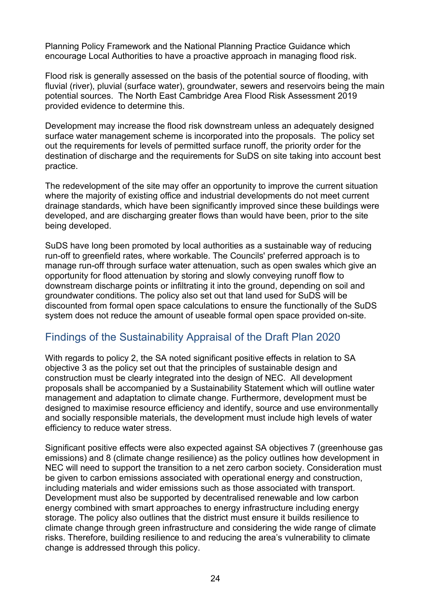Planning Policy Framework and the National Planning Practice Guidance which encourage Local Authorities to have a proactive approach in managing flood risk.

Flood risk is generally assessed on the basis of the potential source of flooding, with fluvial (river), pluvial (surface water), groundwater, sewers and reservoirs being the main potential sources. The North East Cambridge Area Flood Risk Assessment 2019 provided evidence to determine this.

Development may increase the flood risk downstream unless an adequately designed surface water management scheme is incorporated into the proposals. The policy set out the requirements for levels of permitted surface runoff, the priority order for the destination of discharge and the requirements for SuDS on site taking into account best practice.

The redevelopment of the site may offer an opportunity to improve the current situation where the majority of existing office and industrial developments do not meet current drainage standards, which have been significantly improved since these buildings were developed, and are discharging greater flows than would have been, prior to the site being developed.

SuDS have long been promoted by local authorities as a sustainable way of reducing run-off to greenfield rates, where workable. The Councils' preferred approach is to manage run-off through surface water attenuation, such as open swales which give an opportunity for flood attenuation by storing and slowly conveying runoff flow to downstream discharge points or infiltrating it into the ground, depending on soil and groundwater conditions. The policy also set out that land used for SuDS will be discounted from formal open space calculations to ensure the functionally of the SuDS system does not reduce the amount of useable formal open space provided on-site.

# <span id="page-23-0"></span>Findings of the Sustainability Appraisal of the Draft Plan 2020

With regards to policy 2, the SA noted significant positive effects in relation to SA objective 3 as the policy set out that the principles of sustainable design and construction must be clearly integrated into the design of NEC. All development proposals shall be accompanied by a Sustainability Statement which will outline water management and adaptation to climate change. Furthermore, development must be designed to maximise resource efficiency and identify, source and use environmentally and socially responsible materials, the development must include high levels of water efficiency to reduce water stress.

Significant positive effects were also expected against SA objectives 7 (greenhouse gas emissions) and 8 (climate change resilience) as the policy outlines how development in NEC will need to support the transition to a net zero carbon society. Consideration must be given to carbon emissions associated with operational energy and construction, including materials and wider emissions such as those associated with transport. Development must also be supported by decentralised renewable and low carbon energy combined with smart approaches to energy infrastructure including energy storage. The policy also outlines that the district must ensure it builds resilience to climate change through green infrastructure and considering the wide range of climate risks. Therefore, building resilience to and reducing the area's vulnerability to climate change is addressed through this policy.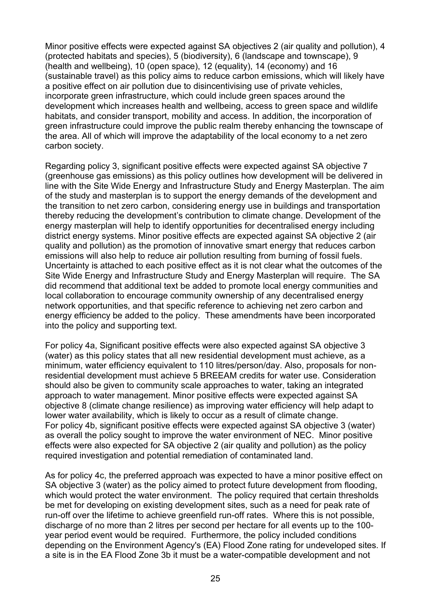Minor positive effects were expected against SA objectives 2 (air quality and pollution), 4 (protected habitats and species), 5 (biodiversity), 6 (landscape and townscape), 9 (health and wellbeing), 10 (open space), 12 (equality), 14 (economy) and 16 (sustainable travel) as this policy aims to reduce carbon emissions, which will likely have a positive effect on air pollution due to disincentivising use of private vehicles, incorporate green infrastructure, which could include green spaces around the development which increases health and wellbeing, access to green space and wildlife habitats, and consider transport, mobility and access. In addition, the incorporation of green infrastructure could improve the public realm thereby enhancing the townscape of the area. All of which will improve the adaptability of the local economy to a net zero carbon society.

Regarding policy 3, significant positive effects were expected against SA objective 7 (greenhouse gas emissions) as this policy outlines how development will be delivered in line with the Site Wide Energy and Infrastructure Study and Energy Masterplan. The aim of the study and masterplan is to support the energy demands of the development and the transition to net zero carbon, considering energy use in buildings and transportation thereby reducing the development's contribution to climate change. Development of the energy masterplan will help to identify opportunities for decentralised energy including district energy systems. Minor positive effects are expected against SA objective 2 (air quality and pollution) as the promotion of innovative smart energy that reduces carbon emissions will also help to reduce air pollution resulting from burning of fossil fuels. Uncertainty is attached to each positive effect as it is not clear what the outcomes of the Site Wide Energy and Infrastructure Study and Energy Masterplan will require. The SA did recommend that additional text be added to promote local energy communities and local collaboration to encourage community ownership of any decentralised energy network opportunities, and that specific reference to achieving net zero carbon and energy efficiency be added to the policy. These amendments have been incorporated into the policy and supporting text.

For policy 4a, Significant positive effects were also expected against SA objective 3 (water) as this policy states that all new residential development must achieve, as a minimum, water efficiency equivalent to 110 litres/person/day. Also, proposals for nonresidential development must achieve 5 BREEAM credits for water use. Consideration should also be given to community scale approaches to water, taking an integrated approach to water management. Minor positive effects were expected against SA objective 8 (climate change resilience) as improving water efficiency will help adapt to lower water availability, which is likely to occur as a result of climate change. For policy 4b, significant positive effects were expected against SA objective 3 (water) as overall the policy sought to improve the water environment of NEC. Minor positive effects were also expected for SA objective 2 (air quality and pollution) as the policy required investigation and potential remediation of contaminated land.

As for policy 4c, the preferred approach was expected to have a minor positive effect on SA objective 3 (water) as the policy aimed to protect future development from flooding, which would protect the water environment. The policy required that certain thresholds be met for developing on existing development sites, such as a need for peak rate of run-off over the lifetime to achieve greenfield run-off rates. Where this is not possible, discharge of no more than 2 litres per second per hectare for all events up to the 100 year period event would be required. Furthermore, the policy included conditions depending on the Environment Agency's (EA) Flood Zone rating for undeveloped sites. If a site is in the EA Flood Zone 3b it must be a water-compatible development and not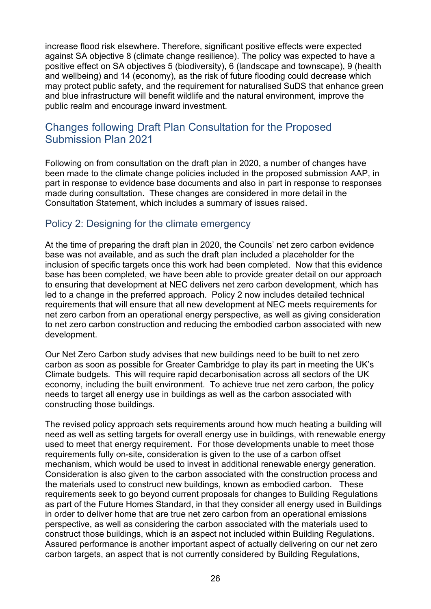increase flood risk elsewhere. Therefore, significant positive effects were expected against SA objective 8 (climate change resilience). The policy was expected to have a positive effect on SA objectives 5 (biodiversity), 6 (landscape and townscape), 9 (health and wellbeing) and 14 (economy), as the risk of future flooding could decrease which may protect public safety, and the requirement for naturalised SuDS that enhance green and blue infrastructure will benefit wildlife and the natural environment, improve the public realm and encourage inward investment.

# <span id="page-25-0"></span>Changes following Draft Plan Consultation for the Proposed Submission Plan 2021

Following on from consultation on the draft plan in 2020, a number of changes have been made to the climate change policies included in the proposed submission AAP, in part in response to evidence base documents and also in part in response to responses made during consultation. These changes are considered in more detail in the Consultation Statement, which includes a summary of issues raised.

# <span id="page-25-1"></span>Policy 2: Designing for the climate emergency

At the time of preparing the draft plan in 2020, the Councils' net zero carbon evidence base was not available, and as such the draft plan included a placeholder for the inclusion of specific targets once this work had been completed. Now that this evidence base has been completed, we have been able to provide greater detail on our approach to ensuring that development at NEC delivers net zero carbon development, which has led to a change in the preferred approach. Policy 2 now includes detailed technical requirements that will ensure that all new development at NEC meets requirements for net zero carbon from an operational energy perspective, as well as giving consideration to net zero carbon construction and reducing the embodied carbon associated with new development.

Our Net Zero Carbon study advises that new buildings need to be built to net zero carbon as soon as possible for Greater Cambridge to play its part in meeting the UK's Climate budgets. This will require rapid decarbonisation across all sectors of the UK economy, including the built environment. To achieve true net zero carbon, the policy needs to target all energy use in buildings as well as the carbon associated with constructing those buildings.

The revised policy approach sets requirements around how much heating a building will need as well as setting targets for overall energy use in buildings, with renewable energy used to meet that energy requirement. For those developments unable to meet those requirements fully on-site, consideration is given to the use of a carbon offset mechanism, which would be used to invest in additional renewable energy generation. Consideration is also given to the carbon associated with the construction process and the materials used to construct new buildings, known as embodied carbon. These requirements seek to go beyond current proposals for changes to Building Regulations as part of the Future Homes Standard, in that they consider all energy used in Buildings in order to deliver home that are true net zero carbon from an operational emissions perspective, as well as considering the carbon associated with the materials used to construct those buildings, which is an aspect not included within Building Regulations. Assured performance is another important aspect of actually delivering on our net zero carbon targets, an aspect that is not currently considered by Building Regulations,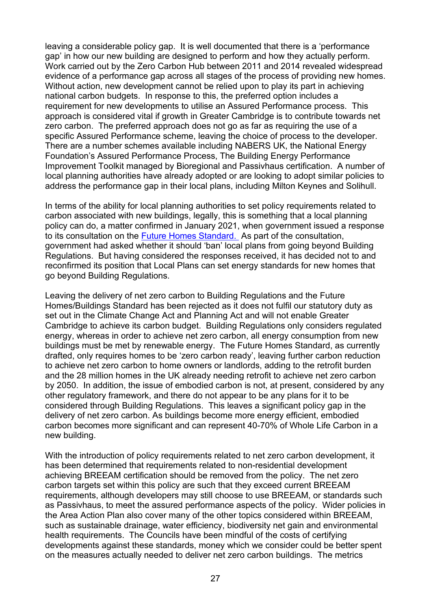leaving a considerable policy gap. It is well documented that there is a 'performance gap' in how our new building are designed to perform and how they actually perform. Work carried out by the Zero Carbon Hub between 2011 and 2014 revealed widespread evidence of a performance gap across all stages of the process of providing new homes. Without action, new development cannot be relied upon to play its part in achieving national carbon budgets. In response to this, the preferred option includes a requirement for new developments to utilise an Assured Performance process. This approach is considered vital if growth in Greater Cambridge is to contribute towards net zero carbon. The preferred approach does not go as far as requiring the use of a specific Assured Performance scheme, leaving the choice of process to the developer. There are a number schemes available including NABERS UK, the National Energy Foundation's Assured Performance Process, The Building Energy Performance Improvement Toolkit managed by Bioregional and Passivhaus certification. A number of local planning authorities have already adopted or are looking to adopt similar policies to address the performance gap in their local plans, including Milton Keynes and Solihull.

In terms of the ability for local planning authorities to set policy requirements related to carbon associated with new buildings, legally, this is something that a local planning policy can do, a matter confirmed in January 2021, when government issued a response to its consultation on the [Future Homes Standard.](https://assets.publishing.service.gov.uk/government/uploads/system/uploads/attachment_data/file/953731/Government_response_to_Future_Homes_Standard_consultation.pdf) As part of the consultation, government had asked whether it should 'ban' local plans from going beyond Building Regulations. But having considered the responses received, it has decided not to and reconfirmed its position that Local Plans can set energy standards for new homes that go beyond Building Regulations.

Leaving the delivery of net zero carbon to Building Regulations and the Future Homes/Buildings Standard has been rejected as it does not fulfil our statutory duty as set out in the Climate Change Act and Planning Act and will not enable Greater Cambridge to achieve its carbon budget. Building Regulations only considers regulated energy, whereas in order to achieve net zero carbon, all energy consumption from new buildings must be met by renewable energy. The Future Homes Standard, as currently drafted, only requires homes to be 'zero carbon ready', leaving further carbon reduction to achieve net zero carbon to home owners or landlords, adding to the retrofit burden and the 28 million homes in the UK already needing retrofit to achieve net zero carbon by 2050. In addition, the issue of embodied carbon is not, at present, considered by any other regulatory framework, and there do not appear to be any plans for it to be considered through Building Regulations. This leaves a significant policy gap in the delivery of net zero carbon. As buildings become more energy efficient, embodied carbon becomes more significant and can represent 40-70% of Whole Life Carbon in a new building.

With the introduction of policy requirements related to net zero carbon development, it has been determined that requirements related to non-residential development achieving BREEAM certification should be removed from the policy. The net zero carbon targets set within this policy are such that they exceed current BREEAM requirements, although developers may still choose to use BREEAM, or standards such as Passivhaus, to meet the assured performance aspects of the policy. Wider policies in the Area Action Plan also cover many of the other topics considered within BREEAM, such as sustainable drainage, water efficiency, biodiversity net gain and environmental health requirements. The Councils have been mindful of the costs of certifying developments against these standards, money which we consider could be better spent on the measures actually needed to deliver net zero carbon buildings. The metrics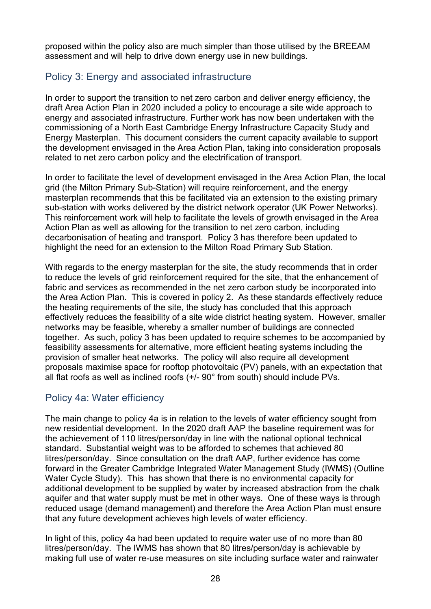proposed within the policy also are much simpler than those utilised by the BREEAM assessment and will help to drive down energy use in new buildings.

# <span id="page-27-0"></span>Policy 3: Energy and associated infrastructure

In order to support the transition to net zero carbon and deliver energy efficiency, the draft Area Action Plan in 2020 included a policy to encourage a site wide approach to energy and associated infrastructure. Further work has now been undertaken with the commissioning of a North East Cambridge Energy Infrastructure Capacity Study and Energy Masterplan. This document considers the current capacity available to support the development envisaged in the Area Action Plan, taking into consideration proposals related to net zero carbon policy and the electrification of transport.

In order to facilitate the level of development envisaged in the Area Action Plan, the local grid (the Milton Primary Sub-Station) will require reinforcement, and the energy masterplan recommends that this be facilitated via an extension to the existing primary sub-station with works delivered by the district network operator (UK Power Networks). This reinforcement work will help to facilitate the levels of growth envisaged in the Area Action Plan as well as allowing for the transition to net zero carbon, including decarbonisation of heating and transport. Policy 3 has therefore been updated to highlight the need for an extension to the Milton Road Primary Sub Station.

With regards to the energy masterplan for the site, the study recommends that in order to reduce the levels of grid reinforcement required for the site, that the enhancement of fabric and services as recommended in the net zero carbon study be incorporated into the Area Action Plan. This is covered in policy 2. As these standards effectively reduce the heating requirements of the site, the study has concluded that this approach effectively reduces the feasibility of a site wide district heating system. However, smaller networks may be feasible, whereby a smaller number of buildings are connected together. As such, policy 3 has been updated to require schemes to be accompanied by feasibility assessments for alternative, more efficient heating systems including the provision of smaller heat networks. The policy will also require all development proposals maximise space for rooftop photovoltaic (PV) panels, with an expectation that all flat roofs as well as inclined roofs (+/- 90° from south) should include PVs.

# <span id="page-27-1"></span>Policy 4a: Water efficiency

The main change to policy 4a is in relation to the levels of water efficiency sought from new residential development. In the 2020 draft AAP the baseline requirement was for the achievement of 110 litres/person/day in line with the national optional technical standard. Substantial weight was to be afforded to schemes that achieved 80 litres/person/day. Since consultation on the draft AAP, further evidence has come forward in the Greater Cambridge Integrated Water Management Study (IWMS) (Outline Water Cycle Study). This has shown that there is no environmental capacity for additional development to be supplied by water by increased abstraction from the chalk aquifer and that water supply must be met in other ways. One of these ways is through reduced usage (demand management) and therefore the Area Action Plan must ensure that any future development achieves high levels of water efficiency.

In light of this, policy 4a had been updated to require water use of no more than 80 litres/person/day. The IWMS has shown that 80 litres/person/day is achievable by making full use of water re-use measures on site including surface water and rainwater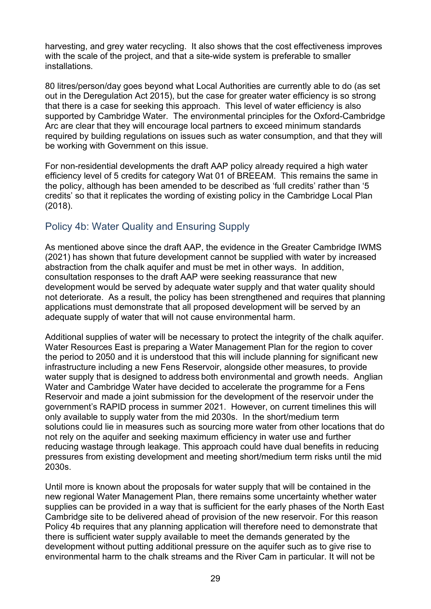harvesting, and grey water recycling. It also shows that the cost effectiveness improves with the scale of the project, and that a site-wide system is preferable to smaller installations.

80 litres/person/day goes beyond what Local Authorities are currently able to do (as set out in the Deregulation Act 2015), but the case for greater water efficiency is so strong that there is a case for seeking this approach. This level of water efficiency is also supported by Cambridge Water. The environmental principles for the Oxford-Cambridge Arc are clear that they will encourage local partners to exceed minimum standards required by building regulations on issues such as water consumption, and that they will be working with Government on this issue.

For non-residential developments the draft AAP policy already required a high water efficiency level of 5 credits for category Wat 01 of BREEAM. This remains the same in the policy, although has been amended to be described as 'full credits' rather than '5 credits' so that it replicates the wording of existing policy in the Cambridge Local Plan (2018).

# <span id="page-28-0"></span>Policy 4b: Water Quality and Ensuring Supply

As mentioned above since the draft AAP, the evidence in the Greater Cambridge IWMS (2021) has shown that future development cannot be supplied with water by increased abstraction from the chalk aquifer and must be met in other ways. In addition, consultation responses to the draft AAP were seeking reassurance that new development would be served by adequate water supply and that water quality should not deteriorate. As a result, the policy has been strengthened and requires that planning applications must demonstrate that all proposed development will be served by an adequate supply of water that will not cause environmental harm.

Additional supplies of water will be necessary to protect the integrity of the chalk aquifer. Water Resources East is preparing a Water Management Plan for the region to cover the period to 2050 and it is understood that this will include planning for significant new infrastructure including a new Fens Reservoir, alongside other measures, to provide water supply that is designed to address both environmental and growth needs. Anglian Water and Cambridge Water have decided to accelerate the programme for a Fens Reservoir and made a joint submission for the development of the reservoir under the government's RAPID process in summer 2021. However, on current timelines this will only available to supply water from the mid 2030s. In the short/medium term solutions could lie in measures such as sourcing more water from other locations that do not rely on the aquifer and seeking maximum efficiency in water use and further reducing wastage through leakage. This approach could have dual benefits in reducing pressures from existing development and meeting short/medium term risks until the mid 2030s.

Until more is known about the proposals for water supply that will be contained in the new regional Water Management Plan, there remains some uncertainty whether water supplies can be provided in a way that is sufficient for the early phases of the North East Cambridge site to be delivered ahead of provision of the new reservoir. For this reason Policy 4b requires that any planning application will therefore need to demonstrate that there is sufficient water supply available to meet the demands generated by the development without putting additional pressure on the aquifer such as to give rise to environmental harm to the chalk streams and the River Cam in particular. It will not be